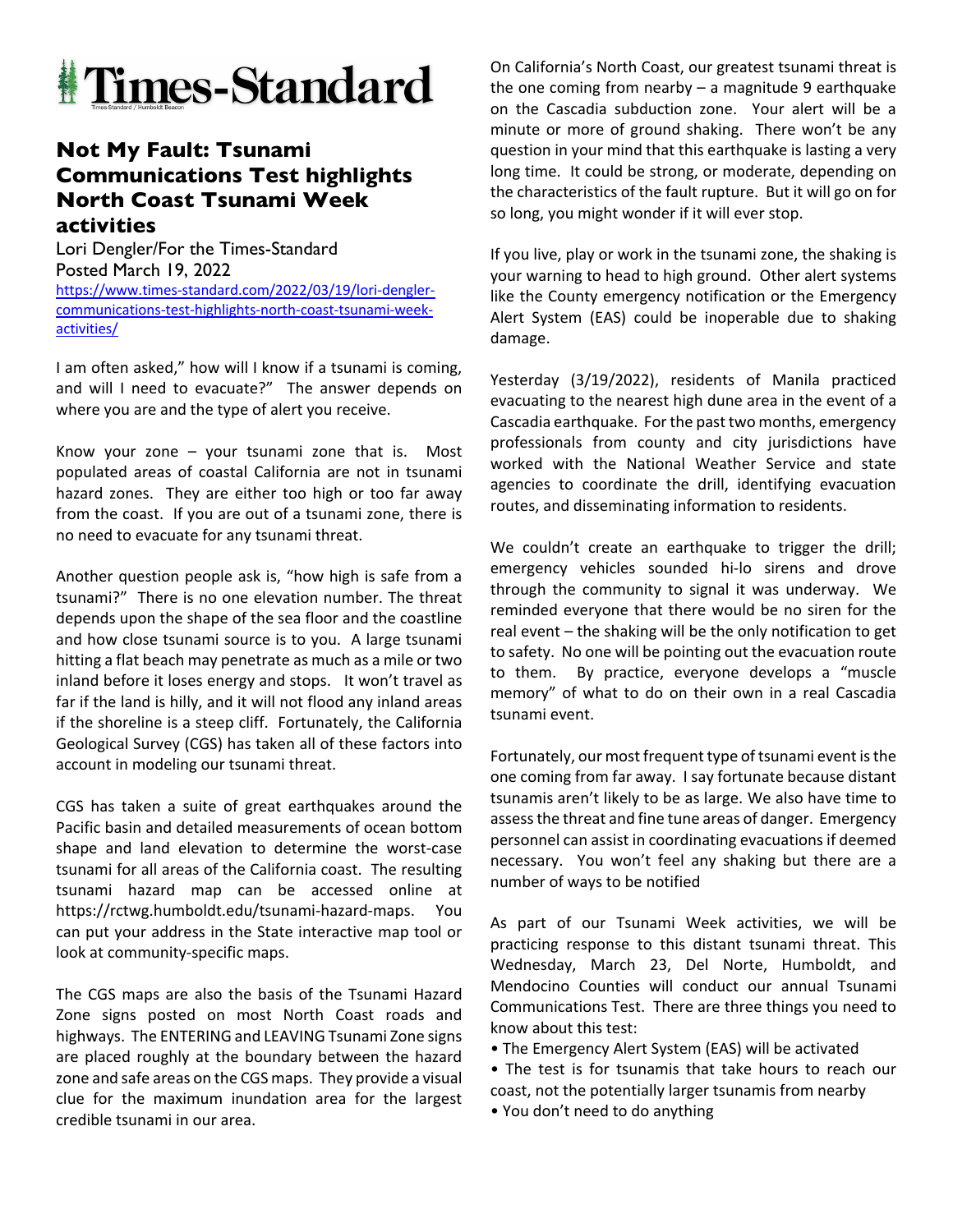

## **Not My Fault: Tsunami Communications Test highlights North Coast Tsunami Week activities**

Lori Dengler/For the Times-Standard Posted March 19, 2022 https://www.times-standard.com/2022/03/19/lori-denglercommunications-test-highlights-north-coast-tsunami-weekactivities/

I am often asked," how will I know if a tsunami is coming, and will I need to evacuate?" The answer depends on where you are and the type of alert you receive.

Know your zone – your tsunami zone that is. Most populated areas of coastal California are not in tsunami hazard zones. They are either too high or too far away from the coast. If you are out of a tsunami zone, there is no need to evacuate for any tsunami threat.

Another question people ask is, "how high is safe from a tsunami?" There is no one elevation number. The threat depends upon the shape of the sea floor and the coastline and how close tsunami source is to you. A large tsunami hitting a flat beach may penetrate as much as a mile or two inland before it loses energy and stops. It won't travel as far if the land is hilly, and it will not flood any inland areas if the shoreline is a steep cliff. Fortunately, the California Geological Survey (CGS) has taken all of these factors into account in modeling our tsunami threat.

CGS has taken a suite of great earthquakes around the Pacific basin and detailed measurements of ocean bottom shape and land elevation to determine the worst-case tsunami for all areas of the California coast. The resulting tsunami hazard map can be accessed online at https://rctwg.humboldt.edu/tsunami-hazard-maps. You can put your address in the State interactive map tool or look at community-specific maps.

The CGS maps are also the basis of the Tsunami Hazard Zone signs posted on most North Coast roads and highways. The ENTERING and LEAVING Tsunami Zone signs are placed roughly at the boundary between the hazard zone and safe areas on the CGS maps. They provide a visual clue for the maximum inundation area for the largest credible tsunami in our area.

On California's North Coast, our greatest tsunami threat is the one coming from nearby  $-$  a magnitude 9 earthquake on the Cascadia subduction zone. Your alert will be a minute or more of ground shaking. There won't be any question in your mind that this earthquake is lasting a very long time. It could be strong, or moderate, depending on the characteristics of the fault rupture. But it will go on for so long, you might wonder if it will ever stop.

If you live, play or work in the tsunami zone, the shaking is your warning to head to high ground. Other alert systems like the County emergency notification or the Emergency Alert System (EAS) could be inoperable due to shaking damage.

Yesterday (3/19/2022), residents of Manila practiced evacuating to the nearest high dune area in the event of a Cascadia earthquake. For the past two months, emergency professionals from county and city jurisdictions have worked with the National Weather Service and state agencies to coordinate the drill, identifying evacuation routes, and disseminating information to residents.

We couldn't create an earthquake to trigger the drill; emergency vehicles sounded hi-lo sirens and drove through the community to signal it was underway. We reminded everyone that there would be no siren for the real event – the shaking will be the only notification to get to safety. No one will be pointing out the evacuation route to them. By practice, everyone develops a "muscle memory" of what to do on their own in a real Cascadia tsunami event.

Fortunately, our most frequent type of tsunami event is the one coming from far away. I say fortunate because distant tsunamis aren't likely to be as large. We also have time to assess the threat and fine tune areas of danger. Emergency personnel can assist in coordinating evacuations if deemed necessary. You won't feel any shaking but there are a number of ways to be notified

As part of our Tsunami Week activities, we will be practicing response to this distant tsunami threat. This Wednesday, March 23, Del Norte, Humboldt, and Mendocino Counties will conduct our annual Tsunami Communications Test. There are three things you need to know about this test:

- The Emergency Alert System (EAS) will be activated
- The test is for tsunamis that take hours to reach our coast, not the potentially larger tsunamis from nearby
- You don't need to do anything